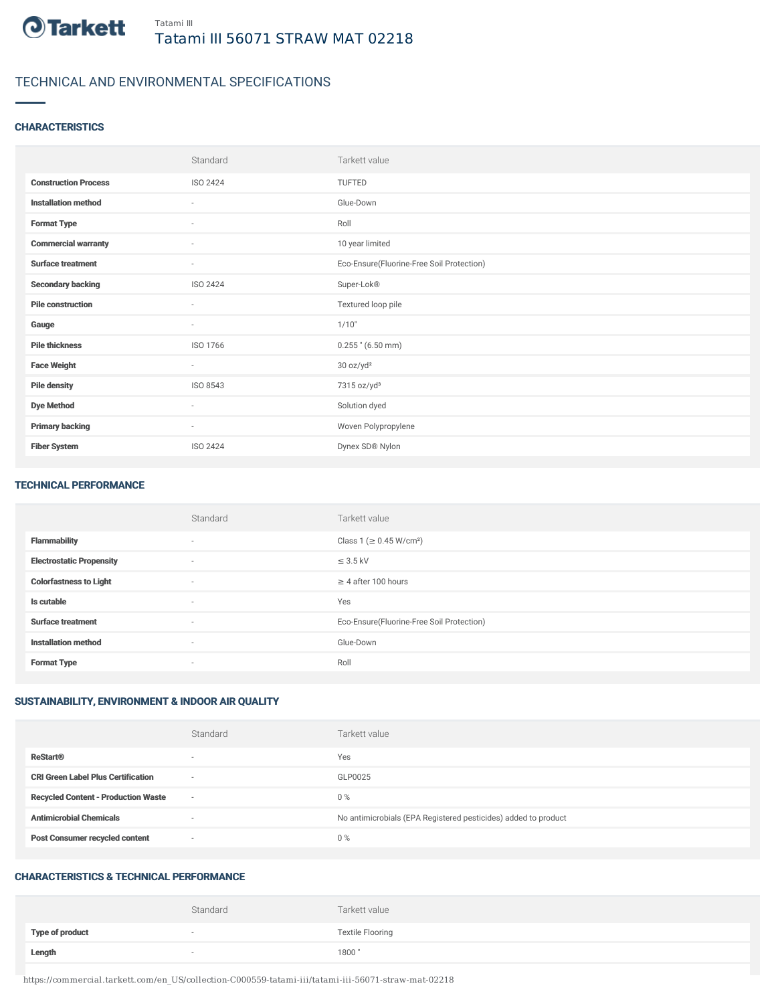

# TECHNICAL AND ENVIRONMENTAL SPECIFICATIONS

### **CHARACTERISTICS**

|                             | Standard                 | Tarkett value                             |
|-----------------------------|--------------------------|-------------------------------------------|
| <b>Construction Process</b> | <b>ISO 2424</b>          | TUFTED                                    |
| <b>Installation method</b>  | $\sim$                   | Glue-Down                                 |
| <b>Format Type</b>          | $\sim$                   | Roll                                      |
| <b>Commercial warranty</b>  | $\sim$                   | 10 year limited                           |
| <b>Surface treatment</b>    | $\overline{\phantom{a}}$ | Eco-Ensure(Fluorine-Free Soil Protection) |
| <b>Secondary backing</b>    | ISO 2424                 | Super-Lok®                                |
| <b>Pile construction</b>    | $\sim$                   | Textured loop pile                        |
| Gauge                       | $\overline{\phantom{a}}$ | 1/10"                                     |
| <b>Pile thickness</b>       | ISO 1766                 | $0.255$ " (6.50 mm)                       |
| <b>Face Weight</b>          | $\sim$                   | 30 oz/yd <sup>2</sup>                     |
| <b>Pile density</b>         | ISO 8543                 | 7315 oz/yd <sup>3</sup>                   |
| <b>Dye Method</b>           | $\sim$                   | Solution dyed                             |
| <b>Primary backing</b>      | $\sim$                   | Woven Polypropylene                       |
| <b>Fiber System</b>         | <b>ISO 2424</b>          | Dynex SD® Nylon                           |

#### TECHNICAL PERFORMANCE

|                                 | Standard                 | Tarkett value                             |
|---------------------------------|--------------------------|-------------------------------------------|
| <b>Flammability</b>             | $\overline{\phantom{a}}$ | Class 1 (≥ 0.45 W/cm <sup>2</sup> )       |
| <b>Electrostatic Propensity</b> | $\sim$                   | $\leq$ 3.5 kV                             |
| <b>Colorfastness to Light</b>   | $\sim$                   | $\geq$ 4 after 100 hours                  |
| Is cutable                      | $\sim$                   | Yes                                       |
| <b>Surface treatment</b>        | $\sim$                   | Eco-Ensure(Fluorine-Free Soil Protection) |
| <b>Installation method</b>      | $\overline{\phantom{a}}$ | Glue-Down                                 |
| <b>Format Type</b>              | $\overline{\phantom{a}}$ | Roll                                      |

## SUSTAINABILITY, ENVIRONMENT & INDOOR AIR QUALITY

|                                            | Standard                 | Tarkett value                                                  |
|--------------------------------------------|--------------------------|----------------------------------------------------------------|
| <b>ReStart®</b>                            | $\overline{\phantom{a}}$ | Yes                                                            |
| <b>CRI Green Label Plus Certification</b>  | $\overline{\phantom{a}}$ | GLP0025                                                        |
| <b>Recycled Content - Production Waste</b> | $\overline{\phantom{a}}$ | $0\%$                                                          |
| <b>Antimicrobial Chemicals</b>             | <b>1999</b>              | No antimicrobials (EPA Registered pesticides) added to product |
| <b>Post Consumer recycled content</b>      | $\overline{\phantom{a}}$ | $0\%$                                                          |

#### CHARACTERISTICS & TECHNICAL PERFORMANCE

|                        | Standard | Tarkett value           |
|------------------------|----------|-------------------------|
| <b>Type of product</b> |          | <b>Textile Flooring</b> |
| Length                 |          | 1800"                   |

https://commercial.tarkett.com/en\_US/collection-C000559-tatami-iii/tatami-iii-56071-straw-mat-02218